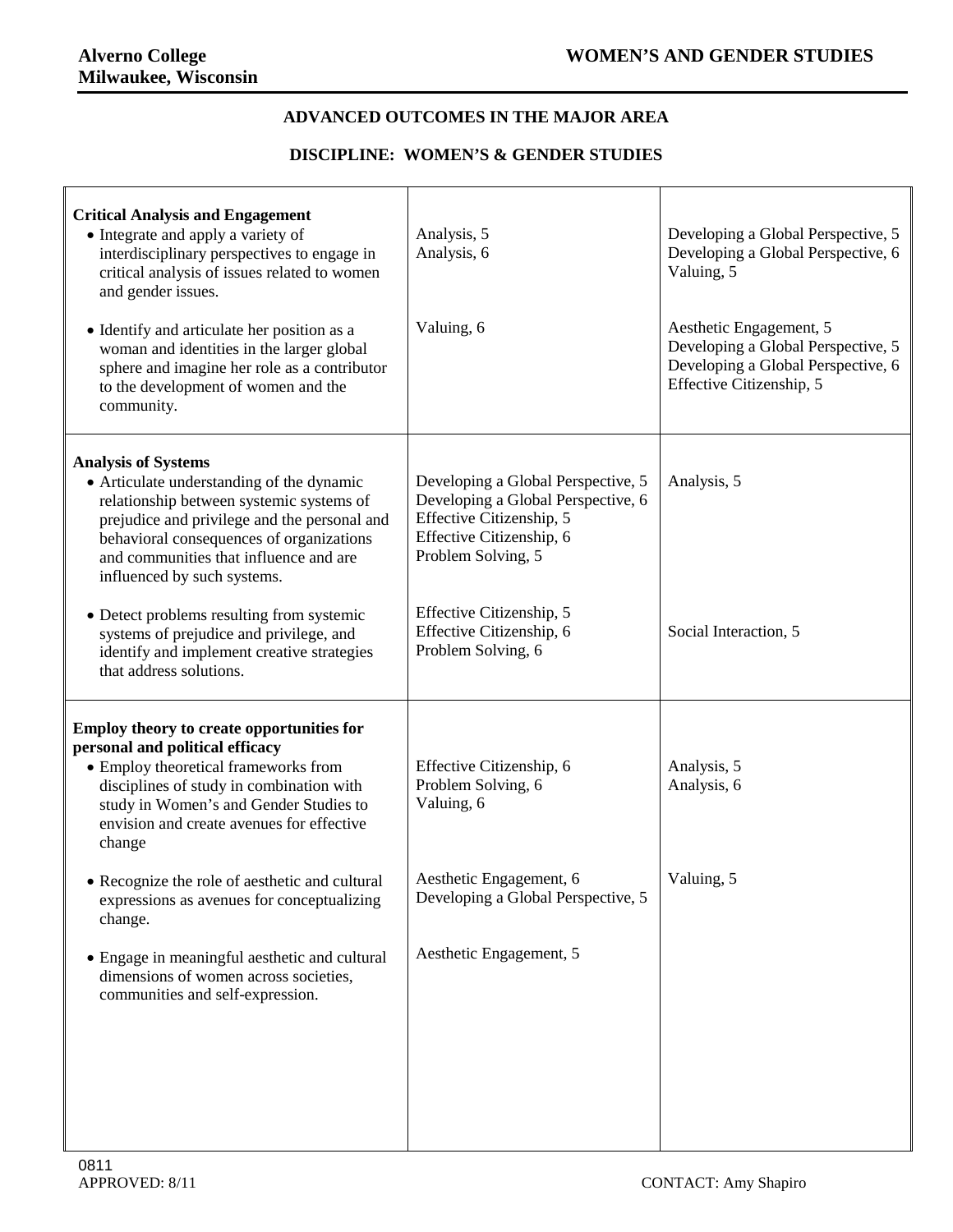## **ADVANCED OUTCOMES IN THE MAJOR AREA**

## **DISCIPLINE: WOMEN'S & GENDER STUDIES**

| <b>Critical Analysis and Engagement</b><br>• Integrate and apply a variety of<br>interdisciplinary perspectives to engage in<br>critical analysis of issues related to women<br>and gender issues.<br>• Identify and articulate her position as a<br>woman and identities in the larger global<br>sphere and imagine her role as a contributor<br>to the development of women and the<br>community.                                                       | Analysis, 5<br>Analysis, 6<br>Valuing, 6                                                                                                                                                                                             | Developing a Global Perspective, 5<br>Developing a Global Perspective, 6<br>Valuing, 5<br>Aesthetic Engagement, 5<br>Developing a Global Perspective, 5<br>Developing a Global Perspective, 6<br>Effective Citizenship, 5 |
|-----------------------------------------------------------------------------------------------------------------------------------------------------------------------------------------------------------------------------------------------------------------------------------------------------------------------------------------------------------------------------------------------------------------------------------------------------------|--------------------------------------------------------------------------------------------------------------------------------------------------------------------------------------------------------------------------------------|---------------------------------------------------------------------------------------------------------------------------------------------------------------------------------------------------------------------------|
| <b>Analysis of Systems</b><br>• Articulate understanding of the dynamic<br>relationship between systemic systems of<br>prejudice and privilege and the personal and<br>behavioral consequences of organizations<br>and communities that influence and are<br>influenced by such systems.<br>• Detect problems resulting from systemic<br>systems of prejudice and privilege, and<br>identify and implement creative strategies<br>that address solutions. | Developing a Global Perspective, 5<br>Developing a Global Perspective, 6<br>Effective Citizenship, 5<br>Effective Citizenship, 6<br>Problem Solving, 5<br>Effective Citizenship, 5<br>Effective Citizenship, 6<br>Problem Solving, 6 | Analysis, 5<br>Social Interaction, 5                                                                                                                                                                                      |
| Employ theory to create opportunities for<br>personal and political efficacy<br>• Employ theoretical frameworks from<br>disciplines of study in combination with<br>study in Women's and Gender Studies to<br>envision and create avenues for effective<br>change                                                                                                                                                                                         | Effective Citizenship, 6<br>Problem Solving, 6<br>Valuing, 6                                                                                                                                                                         | Analysis, 5<br>Analysis, 6                                                                                                                                                                                                |
| • Recognize the role of aesthetic and cultural<br>expressions as avenues for conceptualizing<br>change.<br>• Engage in meaningful aesthetic and cultural<br>dimensions of women across societies,<br>communities and self-expression.                                                                                                                                                                                                                     | Aesthetic Engagement, 6<br>Developing a Global Perspective, 5<br>Aesthetic Engagement, 5                                                                                                                                             | Valuing, 5                                                                                                                                                                                                                |
|                                                                                                                                                                                                                                                                                                                                                                                                                                                           |                                                                                                                                                                                                                                      |                                                                                                                                                                                                                           |